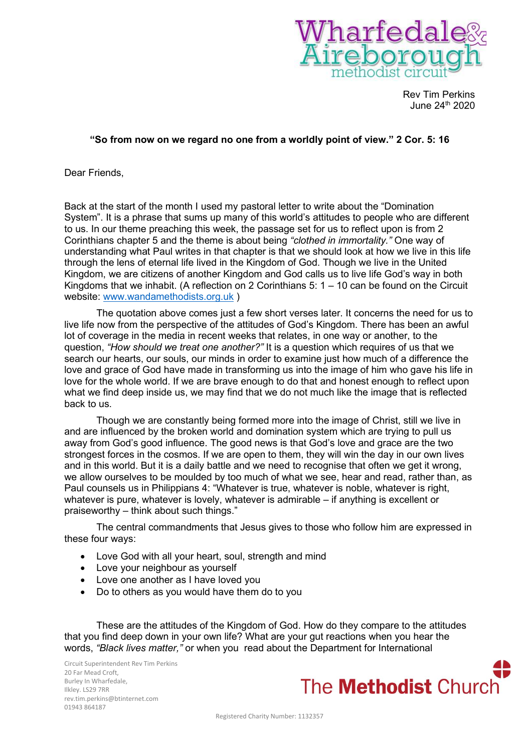

Rev Tim Perkins June 24th 2020

## **"So from now on we regard no one from a worldly point of view." 2 Cor. 5: 16**

Dear Friends,

Back at the start of the month I used my pastoral letter to write about the "Domination System". It is a phrase that sums up many of this world's attitudes to people who are different to us. In our theme preaching this week, the passage set for us to reflect upon is from 2 Corinthians chapter 5 and the theme is about being *"clothed in immortality."* One way of understanding what Paul writes in that chapter is that we should look at how we live in this life through the lens of eternal life lived in the Kingdom of God. Though we live in the United Kingdom, we are citizens of another Kingdom and God calls us to live life God's way in both Kingdoms that we inhabit. (A reflection on 2 Corinthians 5: 1 – 10 can be found on the Circuit website: [www.wandamethodists.org.uk](http://www.wandamethodists.org.uk/) )

The quotation above comes just a few short verses later. It concerns the need for us to live life now from the perspective of the attitudes of God's Kingdom. There has been an awful lot of coverage in the media in recent weeks that relates, in one way or another, to the question, *"How should we treat one another?"* It is a question which requires of us that we search our hearts, our souls, our minds in order to examine just how much of a difference the love and grace of God have made in transforming us into the image of him who gave his life in love for the whole world. If we are brave enough to do that and honest enough to reflect upon what we find deep inside us, we may find that we do not much like the image that is reflected back to us.

Though we are constantly being formed more into the image of Christ, still we live in and are influenced by the broken world and domination system which are trying to pull us away from God's good influence. The good news is that God's love and grace are the two strongest forces in the cosmos. If we are open to them, they will win the day in our own lives and in this world. But it is a daily battle and we need to recognise that often we get it wrong, we allow ourselves to be moulded by too much of what we see, hear and read, rather than, as Paul counsels us in Philippians 4: "Whatever is true, whatever is noble, whatever is right, whatever is pure, whatever is lovely, whatever is admirable – if anything is excellent or praiseworthy – think about such things."

The central commandments that Jesus gives to those who follow him are expressed in these four ways:

- Love God with all your heart, soul, strength and mind
- Love your neighbour as yourself
- Love one another as I have loved you
- Do to others as you would have them do to you

These are the attitudes of the Kingdom of God. How do they compare to the attitudes that you find deep down in your own life? What are your gut reactions when you hear the words, *"Black lives matter,"* or when you read about the Department for International

Circuit Superintendent Rev Tim Perkins 20 Far Mead Croft, Burley In Wharfedale, Ilkley. LS29 7RR rev.tim.perkins@btinternet.com 01943 864187